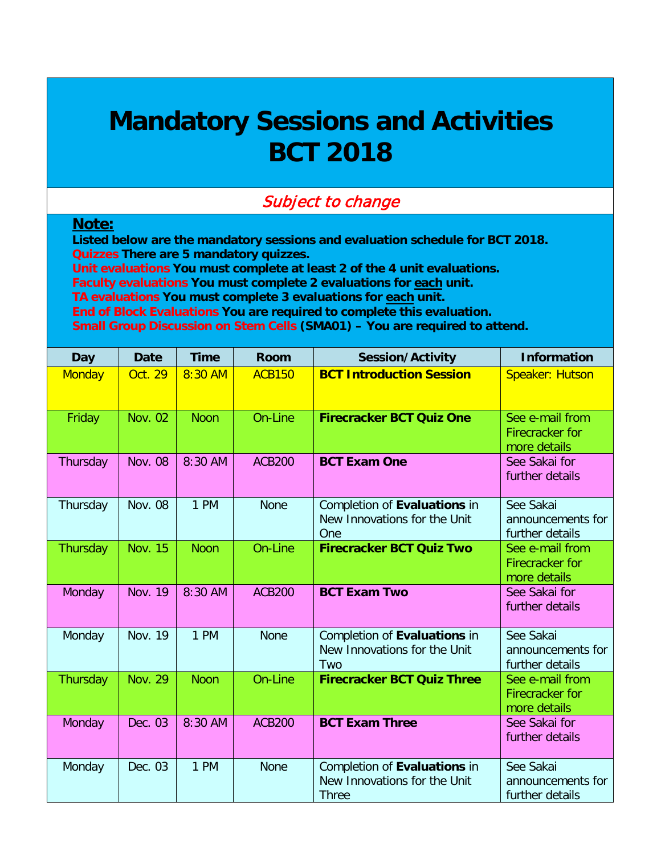## **Mandatory Sessions and Activities BCT 2018**

## Subject to change

## **Note:**

**Listed below are the mandatory sessions and evaluation schedule for BCT 2018. Quizzes There are 5 mandatory quizzes. Unit evaluations You must complete at least 2 of the 4 unit evaluations. Faculty evaluations You must complete 2 evaluations for each unit. TA evaluations You must complete 3 evaluations for each unit. End of Block Evaluations You are required to complete this evaluation.**

**Small Group Discussion on Stem Cells (SMA01) – You are required to attend.**

| <b>Day</b>    | <b>Date</b>    | <b>Time</b> | <b>Room</b>   | <b>Session/Activity</b>                                                      | <b>Information</b>                                        |
|---------------|----------------|-------------|---------------|------------------------------------------------------------------------------|-----------------------------------------------------------|
| <b>Monday</b> | <b>Oct. 29</b> | 8:30 AM     | <b>ACB150</b> | <b>BCT Introduction Session</b>                                              | <b>Speaker: Hutson</b>                                    |
| Friday        | <b>Nov. 02</b> | <b>Noon</b> | On-Line       | <b>Firecracker BCT Quiz One</b>                                              | See e-mail from<br><b>Firecracker</b> for<br>more details |
| Thursday      | <b>Nov. 08</b> | 8:30 AM     | <b>ACB200</b> | <b>BCT Exam One</b>                                                          | See Sakai for<br>further details                          |
| Thursday      | <b>Nov. 08</b> | 1 PM        | <b>None</b>   | Completion of Evaluations in<br>New Innovations for the Unit<br>One          | See Sakai<br>announcements for<br>further details         |
| Thursday      | <b>Nov. 15</b> | <b>Noon</b> | On-Line       | <b>Firecracker BCT Quiz Two</b>                                              | See e-mail from<br>Firecracker for<br>more details        |
| Monday        | <b>Nov. 19</b> | 8:30 AM     | <b>ACB200</b> | <b>BCT Exam Two</b>                                                          | See Sakai for<br>further details                          |
| Monday        | <b>Nov. 19</b> | 1 PM        | <b>None</b>   | Completion of Evaluations in<br>New Innovations for the Unit<br>Two          | See Sakai<br>announcements for<br>further details         |
| Thursday      | <b>Nov. 29</b> | <b>Noon</b> | On-Line       | <b>Firecracker BCT Quiz Three</b>                                            | See e-mail from<br>Firecracker for<br>more details        |
| Monday        | Dec. 03        | 8:30 AM     | <b>ACB200</b> | <b>BCT Exam Three</b>                                                        | See Sakai for<br>further details                          |
| Monday        | Dec. 03        | 1 PM        | <b>None</b>   | Completion of Evaluations in<br>New Innovations for the Unit<br><b>Three</b> | See Sakai<br>announcements for<br>further details         |